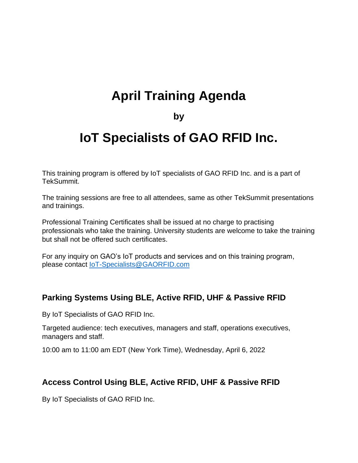# **April Training Agenda**

#### **by**

## **IoT Specialists of GAO RFID Inc.**

This training program is offered by IoT specialists of GAO RFID Inc. and is a part of TekSummit.

The training sessions are free to all attendees, same as other TekSummit presentations and trainings.

Professional Training Certificates shall be issued at no charge to practising professionals who take the training. University students are welcome to take the training but shall not be offered such certificates.

For any inquiry on GAO's IoT products and services and on this training program, please contact [IoT-Specialists@GAORFID.com](mailto:IoT-Specialists@GAORFID.com)

#### **Parking Systems Using BLE, Active RFID, UHF & Passive RFID**

By IoT Specialists of GAO RFID Inc.

Targeted audience: tech executives, managers and staff, operations executives, managers and staff.

10:00 am to 11:00 am EDT (New York Time), Wednesday, April 6, 2022

#### **Access Control Using BLE, Active RFID, UHF & Passive RFID**

By IoT Specialists of GAO RFID Inc.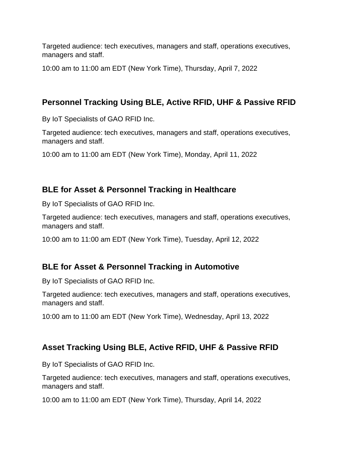Targeted audience: tech executives, managers and staff, operations executives, managers and staff.

10:00 am to 11:00 am EDT (New York Time), Thursday, April 7, 2022

## **Personnel Tracking Using BLE, Active RFID, UHF & Passive RFID**

By IoT Specialists of GAO RFID Inc.

Targeted audience: tech executives, managers and staff, operations executives, managers and staff.

10:00 am to 11:00 am EDT (New York Time), Monday, April 11, 2022

#### **BLE for Asset & Personnel Tracking in Healthcare**

By IoT Specialists of GAO RFID Inc.

Targeted audience: tech executives, managers and staff, operations executives, managers and staff.

10:00 am to 11:00 am EDT (New York Time), Tuesday, April 12, 2022

#### **BLE for Asset & Personnel Tracking in Automotive**

By IoT Specialists of GAO RFID Inc.

Targeted audience: tech executives, managers and staff, operations executives, managers and staff.

10:00 am to 11:00 am EDT (New York Time), Wednesday, April 13, 2022

#### **Asset Tracking Using BLE, Active RFID, UHF & Passive RFID**

By IoT Specialists of GAO RFID Inc.

Targeted audience: tech executives, managers and staff, operations executives, managers and staff.

10:00 am to 11:00 am EDT (New York Time), Thursday, April 14, 2022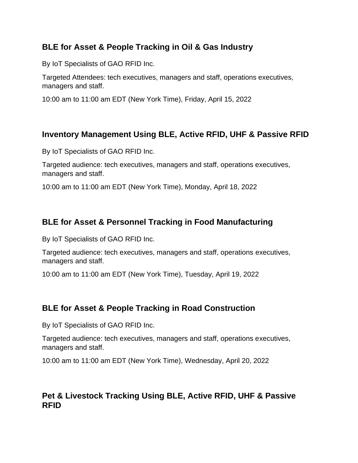#### **BLE for Asset & People Tracking in Oil & Gas Industry**

By IoT Specialists of GAO RFID Inc.

Targeted Attendees: tech executives, managers and staff, operations executives, managers and staff.

10:00 am to 11:00 am EDT (New York Time), Friday, April 15, 2022

## **Inventory Management Using BLE, Active RFID, UHF & Passive RFID**

By IoT Specialists of GAO RFID Inc.

Targeted audience: tech executives, managers and staff, operations executives, managers and staff.

10:00 am to 11:00 am EDT (New York Time), Monday, April 18, 2022

### **BLE for Asset & Personnel Tracking in Food Manufacturing**

By IoT Specialists of GAO RFID Inc.

Targeted audience: tech executives, managers and staff, operations executives, managers and staff.

10:00 am to 11:00 am EDT (New York Time), Tuesday, April 19, 2022

## **BLE for Asset & People Tracking in Road Construction**

By IoT Specialists of GAO RFID Inc.

Targeted audience: tech executives, managers and staff, operations executives, managers and staff.

10:00 am to 11:00 am EDT (New York Time), Wednesday, April 20, 2022

### **Pet & Livestock Tracking Using BLE, Active RFID, UHF & Passive RFID**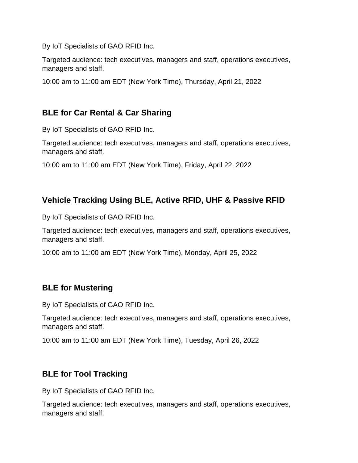By IoT Specialists of GAO RFID Inc.

Targeted audience: tech executives, managers and staff, operations executives, managers and staff.

10:00 am to 11:00 am EDT (New York Time), Thursday, April 21, 2022

## **BLE for Car Rental & Car Sharing**

By IoT Specialists of GAO RFID Inc.

Targeted audience: tech executives, managers and staff, operations executives, managers and staff.

10:00 am to 11:00 am EDT (New York Time), Friday, April 22, 2022

## **Vehicle Tracking Using BLE, Active RFID, UHF & Passive RFID**

By IoT Specialists of GAO RFID Inc.

Targeted audience: tech executives, managers and staff, operations executives, managers and staff.

10:00 am to 11:00 am EDT (New York Time), Monday, April 25, 2022

#### **BLE for Mustering**

By IoT Specialists of GAO RFID Inc.

Targeted audience: tech executives, managers and staff, operations executives, managers and staff.

10:00 am to 11:00 am EDT (New York Time), Tuesday, April 26, 2022

## **BLE for Tool Tracking**

By IoT Specialists of GAO RFID Inc.

Targeted audience: tech executives, managers and staff, operations executives, managers and staff.